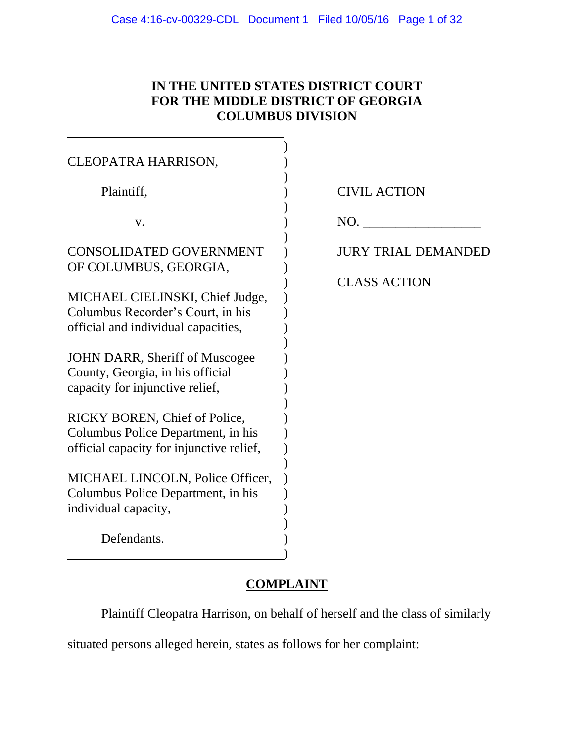## **IN THE UNITED STATES DISTRICT COURT FOR THE MIDDLE DISTRICT OF GEORGIA COLUMBUS DIVISION**

| CLEOPATRA HARRISON,                                                                                             |                            |
|-----------------------------------------------------------------------------------------------------------------|----------------------------|
| Plaintiff,                                                                                                      | <b>CIVIL ACTION</b>        |
| V.                                                                                                              | NO.                        |
| <b>CONSOLIDATED GOVERNMENT</b><br>OF COLUMBUS, GEORGIA,                                                         | <b>JURY TRIAL DEMANDED</b> |
| MICHAEL CIELINSKI, Chief Judge,<br>Columbus Recorder's Court, in his<br>official and individual capacities,     | <b>CLASS ACTION</b>        |
| JOHN DARR, Sheriff of Muscogee<br>County, Georgia, in his official<br>capacity for injunctive relief,           |                            |
| RICKY BOREN, Chief of Police,<br>Columbus Police Department, in his<br>official capacity for injunctive relief, |                            |
| MICHAEL LINCOLN, Police Officer,<br>Columbus Police Department, in his<br>individual capacity,                  |                            |
| Defendants.                                                                                                     |                            |

# **COMPLAINT**

Plaintiff Cleopatra Harrison, on behalf of herself and the class of similarly

situated persons alleged herein, states as follows for her complaint: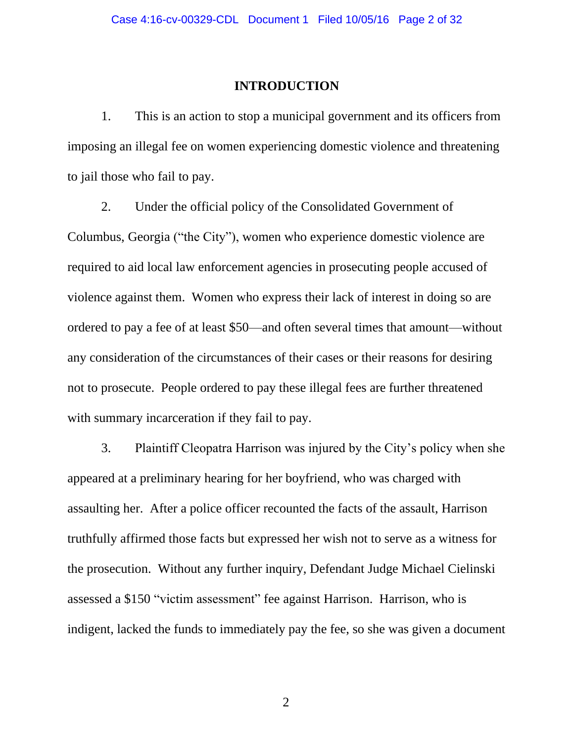#### **INTRODUCTION**

1. This is an action to stop a municipal government and its officers from imposing an illegal fee on women experiencing domestic violence and threatening to jail those who fail to pay.

2. Under the official policy of the Consolidated Government of Columbus, Georgia ("the City"), women who experience domestic violence are required to aid local law enforcement agencies in prosecuting people accused of violence against them. Women who express their lack of interest in doing so are ordered to pay a fee of at least \$50—and often several times that amount—without any consideration of the circumstances of their cases or their reasons for desiring not to prosecute. People ordered to pay these illegal fees are further threatened with summary incarceration if they fail to pay.

3. Plaintiff Cleopatra Harrison was injured by the City's policy when she appeared at a preliminary hearing for her boyfriend, who was charged with assaulting her. After a police officer recounted the facts of the assault, Harrison truthfully affirmed those facts but expressed her wish not to serve as a witness for the prosecution. Without any further inquiry, Defendant Judge Michael Cielinski assessed a \$150 "victim assessment" fee against Harrison. Harrison, who is indigent, lacked the funds to immediately pay the fee, so she was given a document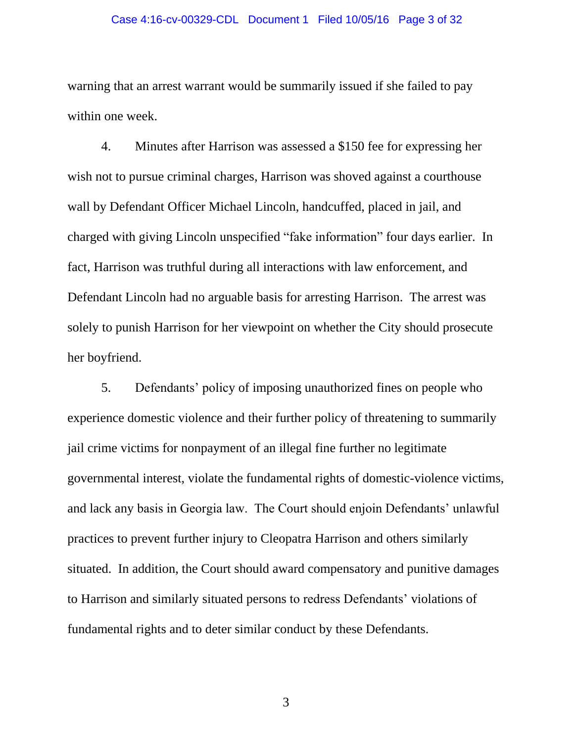#### Case 4:16-cv-00329-CDL Document 1 Filed 10/05/16 Page 3 of 32

warning that an arrest warrant would be summarily issued if she failed to pay within one week.

4. Minutes after Harrison was assessed a \$150 fee for expressing her wish not to pursue criminal charges, Harrison was shoved against a courthouse wall by Defendant Officer Michael Lincoln, handcuffed, placed in jail, and charged with giving Lincoln unspecified "fake information" four days earlier. In fact, Harrison was truthful during all interactions with law enforcement, and Defendant Lincoln had no arguable basis for arresting Harrison. The arrest was solely to punish Harrison for her viewpoint on whether the City should prosecute her boyfriend.

5. Defendants' policy of imposing unauthorized fines on people who experience domestic violence and their further policy of threatening to summarily jail crime victims for nonpayment of an illegal fine further no legitimate governmental interest, violate the fundamental rights of domestic-violence victims, and lack any basis in Georgia law. The Court should enjoin Defendants' unlawful practices to prevent further injury to Cleopatra Harrison and others similarly situated. In addition, the Court should award compensatory and punitive damages to Harrison and similarly situated persons to redress Defendants' violations of fundamental rights and to deter similar conduct by these Defendants.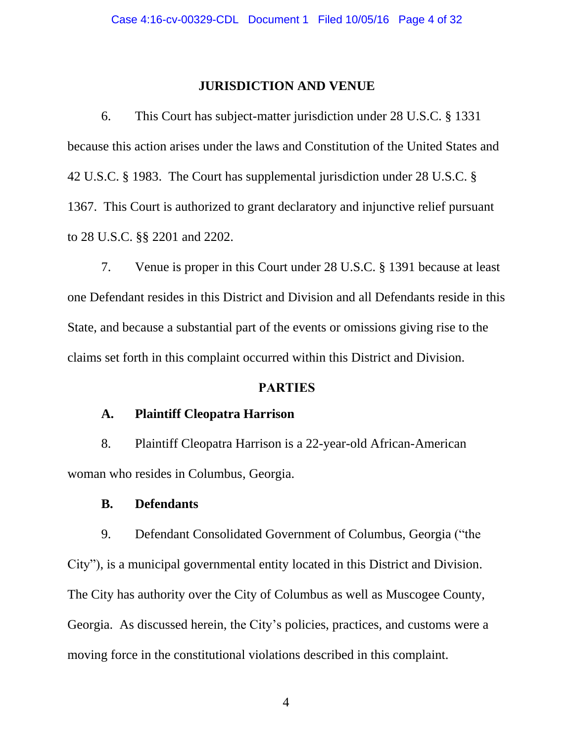#### **JURISDICTION AND VENUE**

6. This Court has subject-matter jurisdiction under 28 U.S.C. § 1331 because this action arises under the laws and Constitution of the United States and 42 U.S.C. § 1983. The Court has supplemental jurisdiction under 28 U.S.C. § 1367. This Court is authorized to grant declaratory and injunctive relief pursuant to 28 U.S.C. §§ 2201 and 2202.

7. Venue is proper in this Court under 28 U.S.C. § 1391 because at least one Defendant resides in this District and Division and all Defendants reside in this State, and because a substantial part of the events or omissions giving rise to the claims set forth in this complaint occurred within this District and Division.

#### **PARTIES**

#### **A. Plaintiff Cleopatra Harrison**

8. Plaintiff Cleopatra Harrison is a 22-year-old African-American woman who resides in Columbus, Georgia.

#### **B. Defendants**

9. Defendant Consolidated Government of Columbus, Georgia ("the City"), is a municipal governmental entity located in this District and Division. The City has authority over the City of Columbus as well as Muscogee County, Georgia. As discussed herein, the City's policies, practices, and customs were a moving force in the constitutional violations described in this complaint.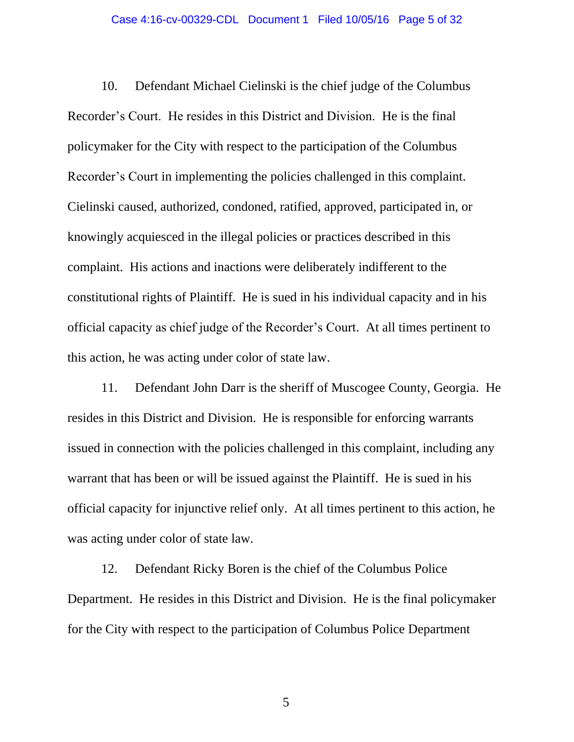10. Defendant Michael Cielinski is the chief judge of the Columbus Recorder's Court. He resides in this District and Division. He is the final policymaker for the City with respect to the participation of the Columbus Recorder's Court in implementing the policies challenged in this complaint. Cielinski caused, authorized, condoned, ratified, approved, participated in, or knowingly acquiesced in the illegal policies or practices described in this complaint. His actions and inactions were deliberately indifferent to the constitutional rights of Plaintiff. He is sued in his individual capacity and in his official capacity as chief judge of the Recorder's Court. At all times pertinent to this action, he was acting under color of state law.

11. Defendant John Darr is the sheriff of Muscogee County, Georgia. He resides in this District and Division. He is responsible for enforcing warrants issued in connection with the policies challenged in this complaint, including any warrant that has been or will be issued against the Plaintiff. He is sued in his official capacity for injunctive relief only. At all times pertinent to this action, he was acting under color of state law.

12. Defendant Ricky Boren is the chief of the Columbus Police Department. He resides in this District and Division. He is the final policymaker for the City with respect to the participation of Columbus Police Department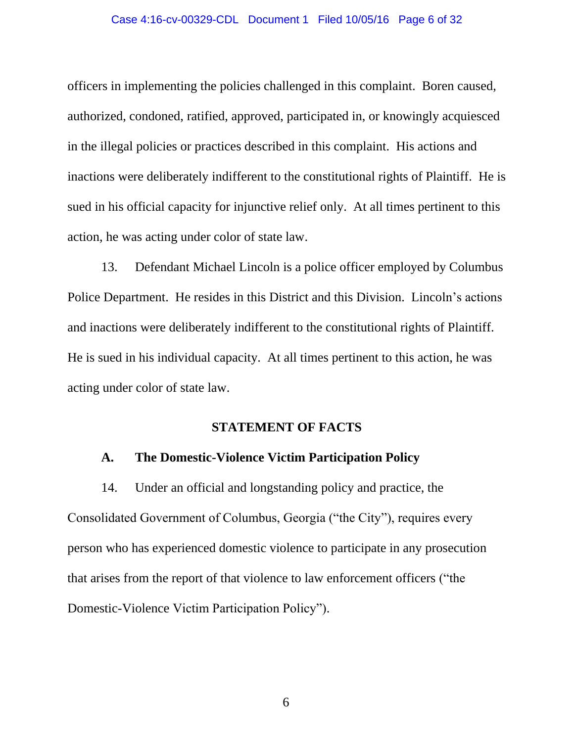#### Case 4:16-cv-00329-CDL Document 1 Filed 10/05/16 Page 6 of 32

officers in implementing the policies challenged in this complaint. Boren caused, authorized, condoned, ratified, approved, participated in, or knowingly acquiesced in the illegal policies or practices described in this complaint. His actions and inactions were deliberately indifferent to the constitutional rights of Plaintiff. He is sued in his official capacity for injunctive relief only. At all times pertinent to this action, he was acting under color of state law.

13. Defendant Michael Lincoln is a police officer employed by Columbus Police Department. He resides in this District and this Division. Lincoln's actions and inactions were deliberately indifferent to the constitutional rights of Plaintiff. He is sued in his individual capacity. At all times pertinent to this action, he was acting under color of state law.

#### **STATEMENT OF FACTS**

#### **A. The Domestic-Violence Victim Participation Policy**

14. Under an official and longstanding policy and practice, the Consolidated Government of Columbus, Georgia ("the City"), requires every person who has experienced domestic violence to participate in any prosecution that arises from the report of that violence to law enforcement officers ("the Domestic-Violence Victim Participation Policy").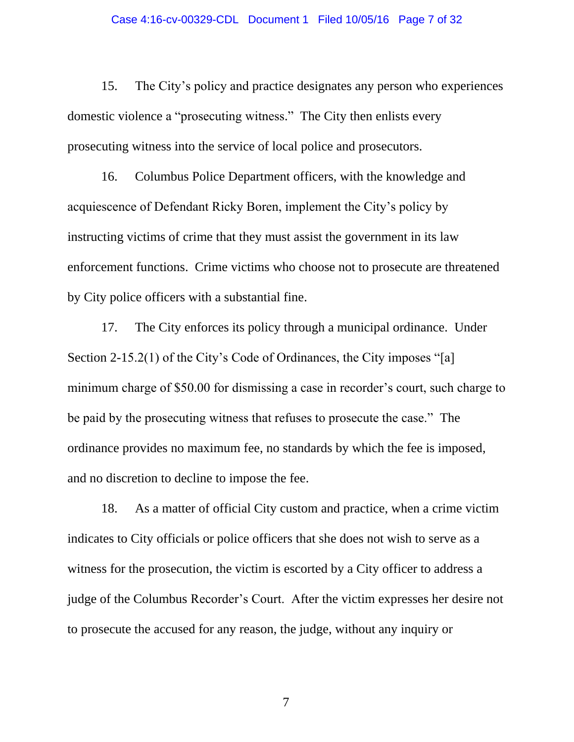15. The City's policy and practice designates any person who experiences domestic violence a "prosecuting witness." The City then enlists every prosecuting witness into the service of local police and prosecutors.

16. Columbus Police Department officers, with the knowledge and acquiescence of Defendant Ricky Boren, implement the City's policy by instructing victims of crime that they must assist the government in its law enforcement functions. Crime victims who choose not to prosecute are threatened by City police officers with a substantial fine.

17. The City enforces its policy through a municipal ordinance. Under Section 2-15.2(1) of the City's Code of Ordinances, the City imposes "[a] minimum charge of \$50.00 for dismissing a case in recorder's court, such charge to be paid by the prosecuting witness that refuses to prosecute the case." The ordinance provides no maximum fee, no standards by which the fee is imposed, and no discretion to decline to impose the fee.

18. As a matter of official City custom and practice, when a crime victim indicates to City officials or police officers that she does not wish to serve as a witness for the prosecution, the victim is escorted by a City officer to address a judge of the Columbus Recorder's Court. After the victim expresses her desire not to prosecute the accused for any reason, the judge, without any inquiry or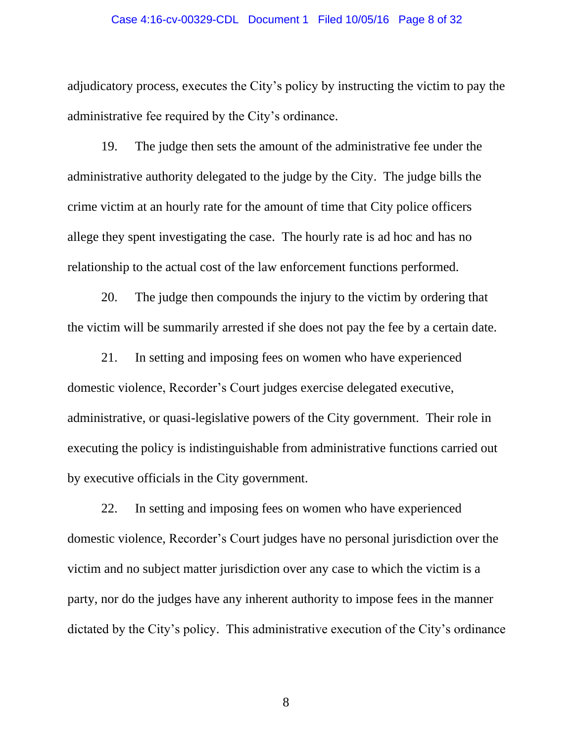#### Case 4:16-cv-00329-CDL Document 1 Filed 10/05/16 Page 8 of 32

adjudicatory process, executes the City's policy by instructing the victim to pay the administrative fee required by the City's ordinance.

19. The judge then sets the amount of the administrative fee under the administrative authority delegated to the judge by the City. The judge bills the crime victim at an hourly rate for the amount of time that City police officers allege they spent investigating the case. The hourly rate is ad hoc and has no relationship to the actual cost of the law enforcement functions performed.

20. The judge then compounds the injury to the victim by ordering that the victim will be summarily arrested if she does not pay the fee by a certain date.

21. In setting and imposing fees on women who have experienced domestic violence, Recorder's Court judges exercise delegated executive, administrative, or quasi-legislative powers of the City government. Their role in executing the policy is indistinguishable from administrative functions carried out by executive officials in the City government.

22. In setting and imposing fees on women who have experienced domestic violence, Recorder's Court judges have no personal jurisdiction over the victim and no subject matter jurisdiction over any case to which the victim is a party, nor do the judges have any inherent authority to impose fees in the manner dictated by the City's policy. This administrative execution of the City's ordinance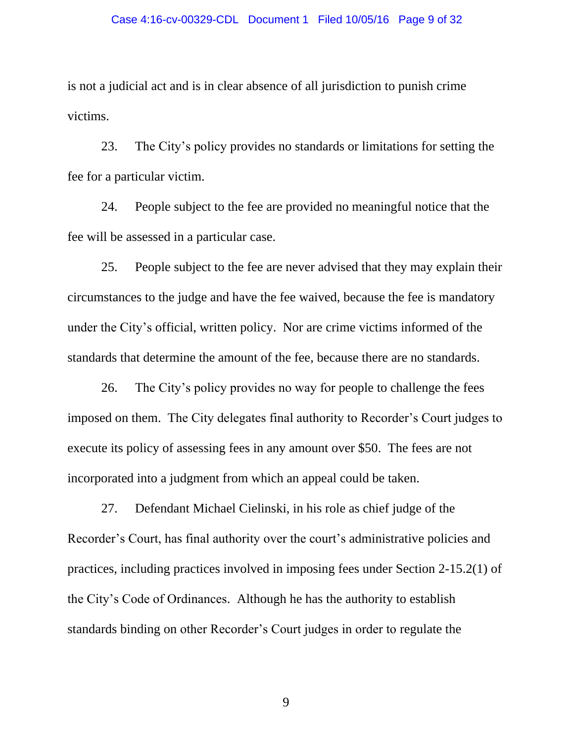is not a judicial act and is in clear absence of all jurisdiction to punish crime victims.

23. The City's policy provides no standards or limitations for setting the fee for a particular victim.

24. People subject to the fee are provided no meaningful notice that the fee will be assessed in a particular case.

25. People subject to the fee are never advised that they may explain their circumstances to the judge and have the fee waived, because the fee is mandatory under the City's official, written policy. Nor are crime victims informed of the standards that determine the amount of the fee, because there are no standards.

26. The City's policy provides no way for people to challenge the fees imposed on them. The City delegates final authority to Recorder's Court judges to execute its policy of assessing fees in any amount over \$50. The fees are not incorporated into a judgment from which an appeal could be taken.

27. Defendant Michael Cielinski, in his role as chief judge of the Recorder's Court, has final authority over the court's administrative policies and practices, including practices involved in imposing fees under Section 2-15.2(1) of the City's Code of Ordinances. Although he has the authority to establish standards binding on other Recorder's Court judges in order to regulate the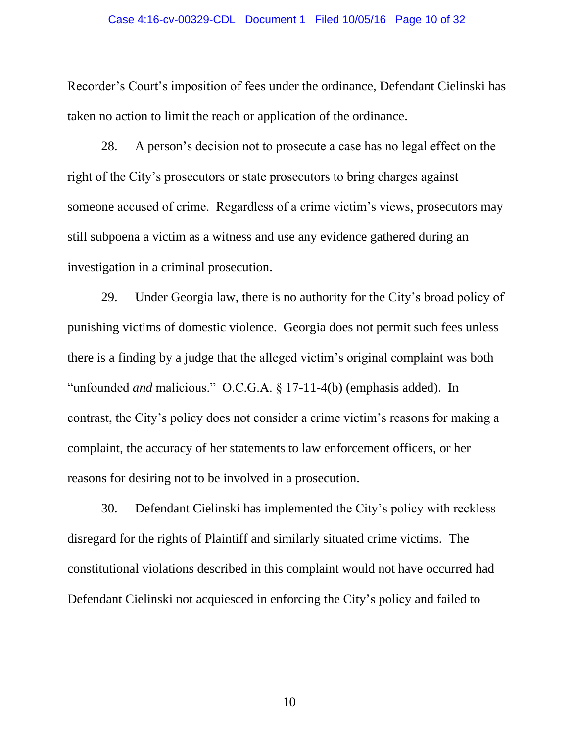#### Case 4:16-cv-00329-CDL Document 1 Filed 10/05/16 Page 10 of 32

Recorder's Court's imposition of fees under the ordinance, Defendant Cielinski has taken no action to limit the reach or application of the ordinance.

28. A person's decision not to prosecute a case has no legal effect on the right of the City's prosecutors or state prosecutors to bring charges against someone accused of crime. Regardless of a crime victim's views, prosecutors may still subpoena a victim as a witness and use any evidence gathered during an investigation in a criminal prosecution.

29. Under Georgia law, there is no authority for the City's broad policy of punishing victims of domestic violence. Georgia does not permit such fees unless there is a finding by a judge that the alleged victim's original complaint was both "unfounded *and* malicious." O.C.G.A. § 17-11-4(b) (emphasis added). In contrast, the City's policy does not consider a crime victim's reasons for making a complaint, the accuracy of her statements to law enforcement officers, or her reasons for desiring not to be involved in a prosecution.

30. Defendant Cielinski has implemented the City's policy with reckless disregard for the rights of Plaintiff and similarly situated crime victims. The constitutional violations described in this complaint would not have occurred had Defendant Cielinski not acquiesced in enforcing the City's policy and failed to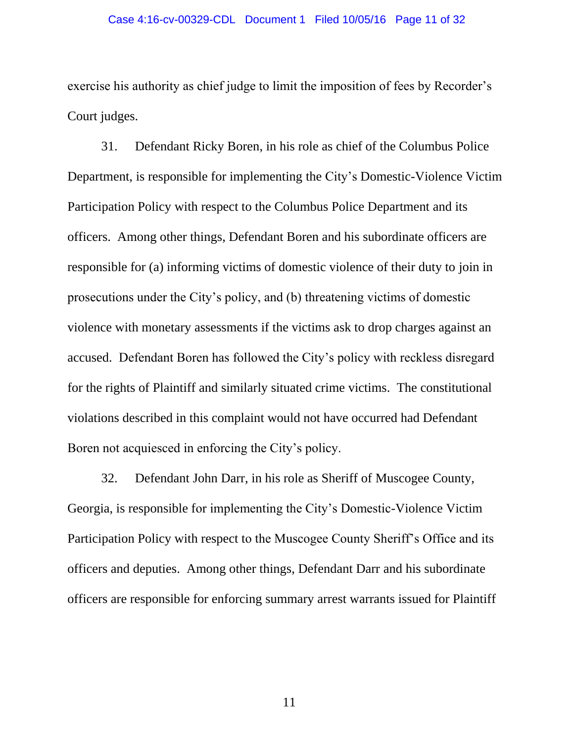exercise his authority as chief judge to limit the imposition of fees by Recorder's Court judges.

31. Defendant Ricky Boren, in his role as chief of the Columbus Police Department, is responsible for implementing the City's Domestic-Violence Victim Participation Policy with respect to the Columbus Police Department and its officers. Among other things, Defendant Boren and his subordinate officers are responsible for (a) informing victims of domestic violence of their duty to join in prosecutions under the City's policy, and (b) threatening victims of domestic violence with monetary assessments if the victims ask to drop charges against an accused. Defendant Boren has followed the City's policy with reckless disregard for the rights of Plaintiff and similarly situated crime victims. The constitutional violations described in this complaint would not have occurred had Defendant Boren not acquiesced in enforcing the City's policy.

32. Defendant John Darr, in his role as Sheriff of Muscogee County, Georgia, is responsible for implementing the City's Domestic-Violence Victim Participation Policy with respect to the Muscogee County Sheriff's Office and its officers and deputies. Among other things, Defendant Darr and his subordinate officers are responsible for enforcing summary arrest warrants issued for Plaintiff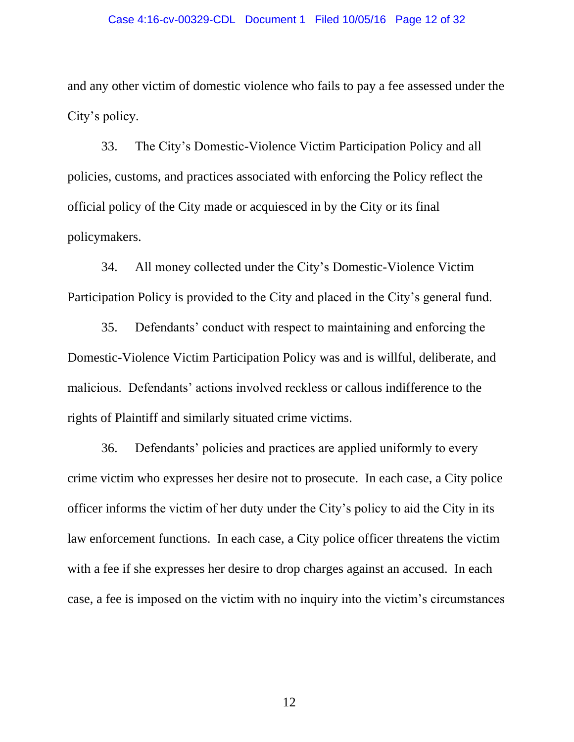#### Case 4:16-cv-00329-CDL Document 1 Filed 10/05/16 Page 12 of 32

and any other victim of domestic violence who fails to pay a fee assessed under the City's policy.

33. The City's Domestic-Violence Victim Participation Policy and all policies, customs, and practices associated with enforcing the Policy reflect the official policy of the City made or acquiesced in by the City or its final policymakers.

34. All money collected under the City's Domestic-Violence Victim Participation Policy is provided to the City and placed in the City's general fund.

35. Defendants' conduct with respect to maintaining and enforcing the Domestic-Violence Victim Participation Policy was and is willful, deliberate, and malicious. Defendants' actions involved reckless or callous indifference to the rights of Plaintiff and similarly situated crime victims.

36. Defendants' policies and practices are applied uniformly to every crime victim who expresses her desire not to prosecute. In each case, a City police officer informs the victim of her duty under the City's policy to aid the City in its law enforcement functions. In each case, a City police officer threatens the victim with a fee if she expresses her desire to drop charges against an accused. In each case, a fee is imposed on the victim with no inquiry into the victim's circumstances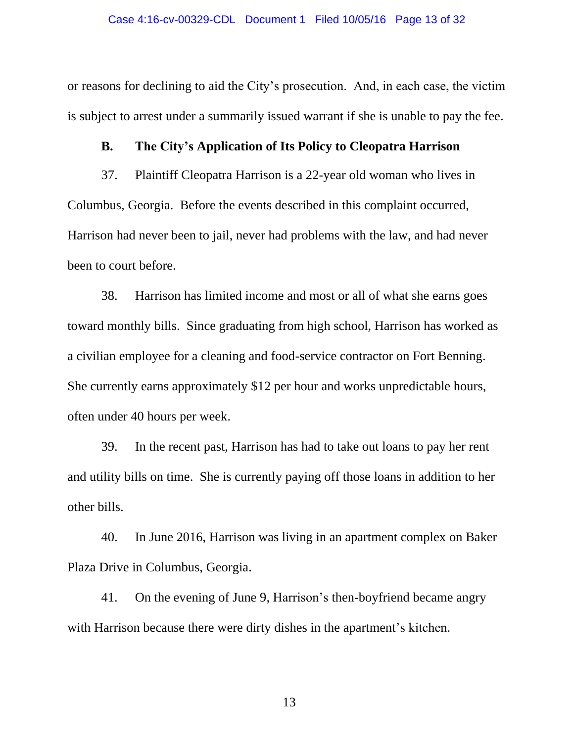or reasons for declining to aid the City's prosecution. And, in each case, the victim is subject to arrest under a summarily issued warrant if she is unable to pay the fee.

### **B. The City's Application of Its Policy to Cleopatra Harrison**

37. Plaintiff Cleopatra Harrison is a 22-year old woman who lives in Columbus, Georgia. Before the events described in this complaint occurred, Harrison had never been to jail, never had problems with the law, and had never been to court before.

38. Harrison has limited income and most or all of what she earns goes toward monthly bills. Since graduating from high school, Harrison has worked as a civilian employee for a cleaning and food-service contractor on Fort Benning. She currently earns approximately \$12 per hour and works unpredictable hours, often under 40 hours per week.

39. In the recent past, Harrison has had to take out loans to pay her rent and utility bills on time. She is currently paying off those loans in addition to her other bills.

40. In June 2016, Harrison was living in an apartment complex on Baker Plaza Drive in Columbus, Georgia.

41. On the evening of June 9, Harrison's then-boyfriend became angry with Harrison because there were dirty dishes in the apartment's kitchen.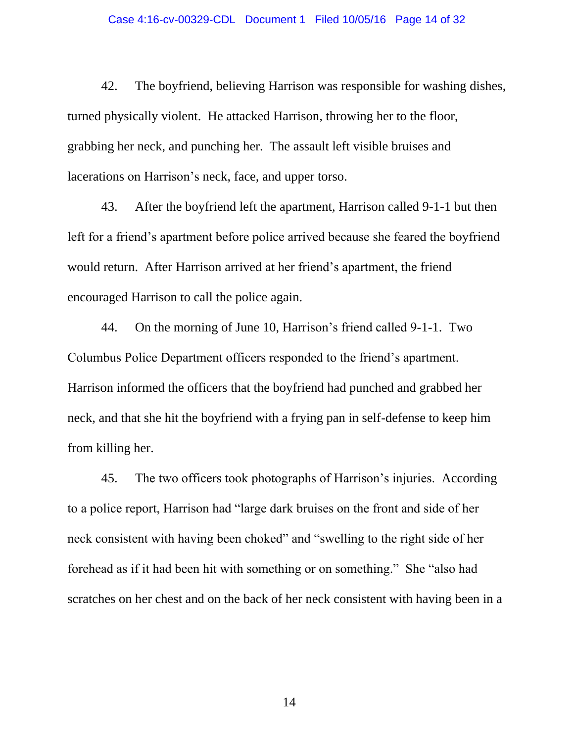42. The boyfriend, believing Harrison was responsible for washing dishes, turned physically violent. He attacked Harrison, throwing her to the floor, grabbing her neck, and punching her. The assault left visible bruises and lacerations on Harrison's neck, face, and upper torso.

43. After the boyfriend left the apartment, Harrison called 9-1-1 but then left for a friend's apartment before police arrived because she feared the boyfriend would return. After Harrison arrived at her friend's apartment, the friend encouraged Harrison to call the police again.

44. On the morning of June 10, Harrison's friend called 9-1-1. Two Columbus Police Department officers responded to the friend's apartment. Harrison informed the officers that the boyfriend had punched and grabbed her neck, and that she hit the boyfriend with a frying pan in self-defense to keep him from killing her.

45. The two officers took photographs of Harrison's injuries. According to a police report, Harrison had "large dark bruises on the front and side of her neck consistent with having been choked" and "swelling to the right side of her forehead as if it had been hit with something or on something." She "also had scratches on her chest and on the back of her neck consistent with having been in a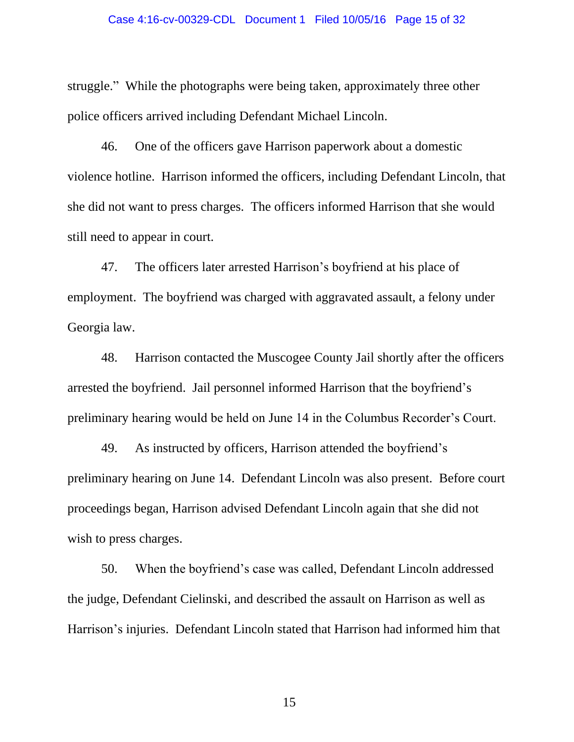#### Case 4:16-cv-00329-CDL Document 1 Filed 10/05/16 Page 15 of 32

struggle." While the photographs were being taken, approximately three other police officers arrived including Defendant Michael Lincoln.

46. One of the officers gave Harrison paperwork about a domestic violence hotline. Harrison informed the officers, including Defendant Lincoln, that she did not want to press charges. The officers informed Harrison that she would still need to appear in court.

47. The officers later arrested Harrison's boyfriend at his place of employment. The boyfriend was charged with aggravated assault, a felony under Georgia law.

48. Harrison contacted the Muscogee County Jail shortly after the officers arrested the boyfriend. Jail personnel informed Harrison that the boyfriend's preliminary hearing would be held on June 14 in the Columbus Recorder's Court.

49. As instructed by officers, Harrison attended the boyfriend's preliminary hearing on June 14. Defendant Lincoln was also present. Before court proceedings began, Harrison advised Defendant Lincoln again that she did not wish to press charges.

50. When the boyfriend's case was called, Defendant Lincoln addressed the judge, Defendant Cielinski, and described the assault on Harrison as well as Harrison's injuries. Defendant Lincoln stated that Harrison had informed him that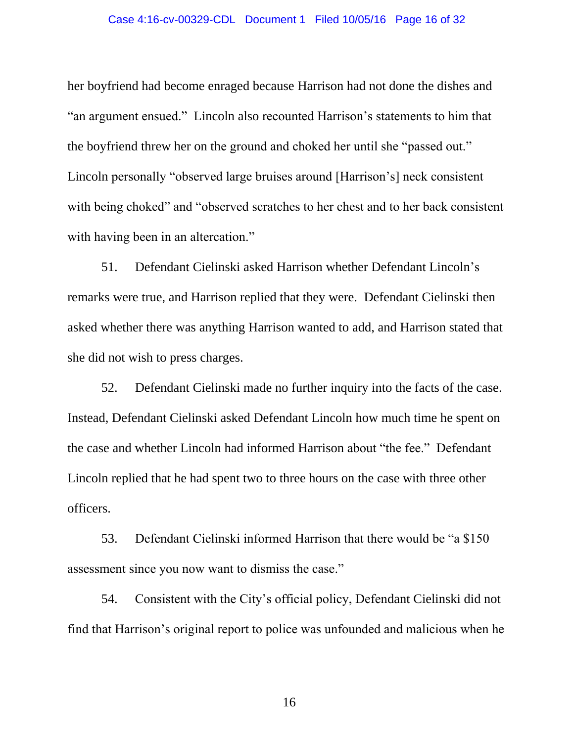#### Case 4:16-cv-00329-CDL Document 1 Filed 10/05/16 Page 16 of 32

her boyfriend had become enraged because Harrison had not done the dishes and "an argument ensued." Lincoln also recounted Harrison's statements to him that the boyfriend threw her on the ground and choked her until she "passed out." Lincoln personally "observed large bruises around [Harrison's] neck consistent with being choked" and "observed scratches to her chest and to her back consistent with having been in an altercation."

51. Defendant Cielinski asked Harrison whether Defendant Lincoln's remarks were true, and Harrison replied that they were. Defendant Cielinski then asked whether there was anything Harrison wanted to add, and Harrison stated that she did not wish to press charges.

52. Defendant Cielinski made no further inquiry into the facts of the case. Instead, Defendant Cielinski asked Defendant Lincoln how much time he spent on the case and whether Lincoln had informed Harrison about "the fee." Defendant Lincoln replied that he had spent two to three hours on the case with three other officers.

53. Defendant Cielinski informed Harrison that there would be "a \$150 assessment since you now want to dismiss the case."

54. Consistent with the City's official policy, Defendant Cielinski did not find that Harrison's original report to police was unfounded and malicious when he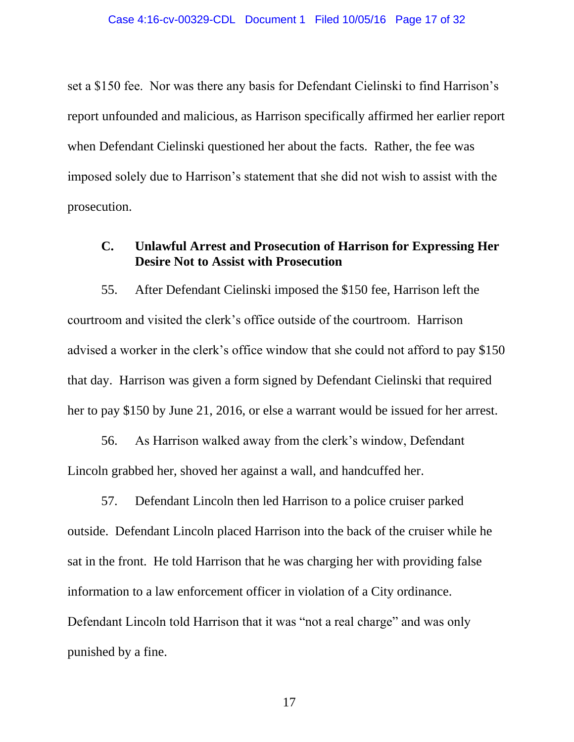set a \$150 fee. Nor was there any basis for Defendant Cielinski to find Harrison's report unfounded and malicious, as Harrison specifically affirmed her earlier report when Defendant Cielinski questioned her about the facts. Rather, the fee was imposed solely due to Harrison's statement that she did not wish to assist with the prosecution.

### **C. Unlawful Arrest and Prosecution of Harrison for Expressing Her Desire Not to Assist with Prosecution**

55. After Defendant Cielinski imposed the \$150 fee, Harrison left the courtroom and visited the clerk's office outside of the courtroom. Harrison advised a worker in the clerk's office window that she could not afford to pay \$150 that day. Harrison was given a form signed by Defendant Cielinski that required her to pay \$150 by June 21, 2016, or else a warrant would be issued for her arrest.

56. As Harrison walked away from the clerk's window, Defendant Lincoln grabbed her, shoved her against a wall, and handcuffed her.

57. Defendant Lincoln then led Harrison to a police cruiser parked outside. Defendant Lincoln placed Harrison into the back of the cruiser while he sat in the front. He told Harrison that he was charging her with providing false information to a law enforcement officer in violation of a City ordinance. Defendant Lincoln told Harrison that it was "not a real charge" and was only punished by a fine.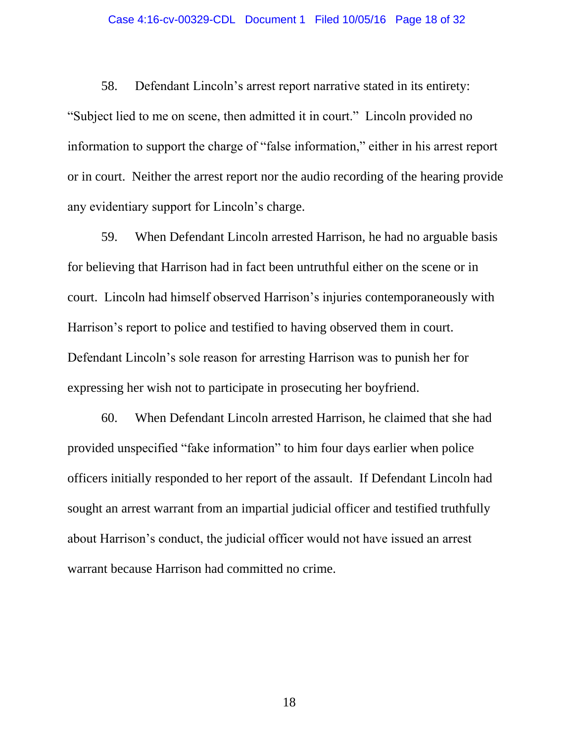58. Defendant Lincoln's arrest report narrative stated in its entirety: "Subject lied to me on scene, then admitted it in court." Lincoln provided no information to support the charge of "false information," either in his arrest report or in court. Neither the arrest report nor the audio recording of the hearing provide any evidentiary support for Lincoln's charge.

59. When Defendant Lincoln arrested Harrison, he had no arguable basis for believing that Harrison had in fact been untruthful either on the scene or in court. Lincoln had himself observed Harrison's injuries contemporaneously with Harrison's report to police and testified to having observed them in court. Defendant Lincoln's sole reason for arresting Harrison was to punish her for expressing her wish not to participate in prosecuting her boyfriend.

60. When Defendant Lincoln arrested Harrison, he claimed that she had provided unspecified "fake information" to him four days earlier when police officers initially responded to her report of the assault. If Defendant Lincoln had sought an arrest warrant from an impartial judicial officer and testified truthfully about Harrison's conduct, the judicial officer would not have issued an arrest warrant because Harrison had committed no crime.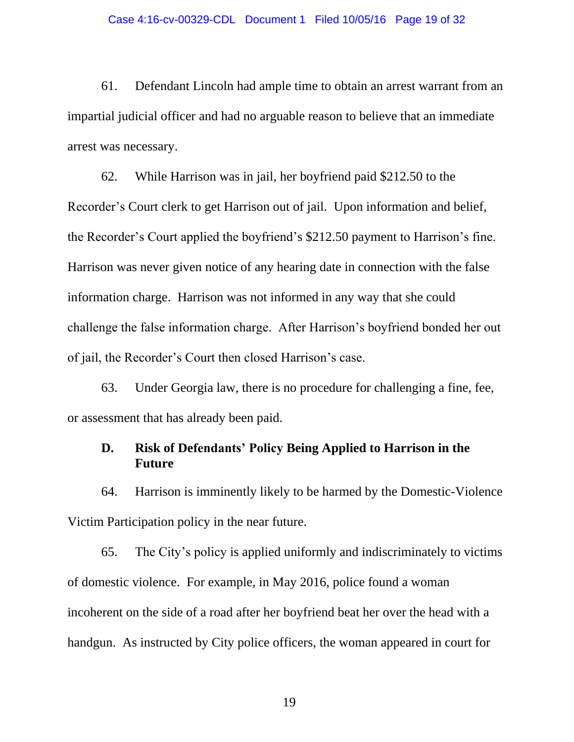61. Defendant Lincoln had ample time to obtain an arrest warrant from an impartial judicial officer and had no arguable reason to believe that an immediate arrest was necessary.

62. While Harrison was in jail, her boyfriend paid \$212.50 to the Recorder's Court clerk to get Harrison out of jail. Upon information and belief, the Recorder's Court applied the boyfriend's \$212.50 payment to Harrison's fine. Harrison was never given notice of any hearing date in connection with the false information charge. Harrison was not informed in any way that she could challenge the false information charge. After Harrison's boyfriend bonded her out of jail, the Recorder's Court then closed Harrison's case.

63. Under Georgia law, there is no procedure for challenging a fine, fee, or assessment that has already been paid.

### **D. Risk of Defendants' Policy Being Applied to Harrison in the Future**

64. Harrison is imminently likely to be harmed by the Domestic-Violence Victim Participation policy in the near future.

65. The City's policy is applied uniformly and indiscriminately to victims of domestic violence. For example, in May 2016, police found a woman incoherent on the side of a road after her boyfriend beat her over the head with a handgun. As instructed by City police officers, the woman appeared in court for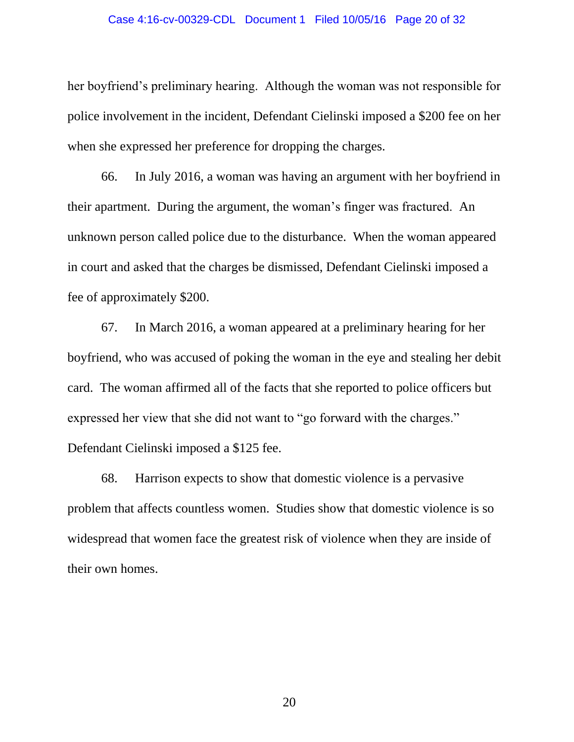#### Case 4:16-cv-00329-CDL Document 1 Filed 10/05/16 Page 20 of 32

her boyfriend's preliminary hearing. Although the woman was not responsible for police involvement in the incident, Defendant Cielinski imposed a \$200 fee on her when she expressed her preference for dropping the charges.

66. In July 2016, a woman was having an argument with her boyfriend in their apartment. During the argument, the woman's finger was fractured. An unknown person called police due to the disturbance. When the woman appeared in court and asked that the charges be dismissed, Defendant Cielinski imposed a fee of approximately \$200.

67. In March 2016, a woman appeared at a preliminary hearing for her boyfriend, who was accused of poking the woman in the eye and stealing her debit card. The woman affirmed all of the facts that she reported to police officers but expressed her view that she did not want to "go forward with the charges." Defendant Cielinski imposed a \$125 fee.

68. Harrison expects to show that domestic violence is a pervasive problem that affects countless women. Studies show that domestic violence is so widespread that women face the greatest risk of violence when they are inside of their own homes.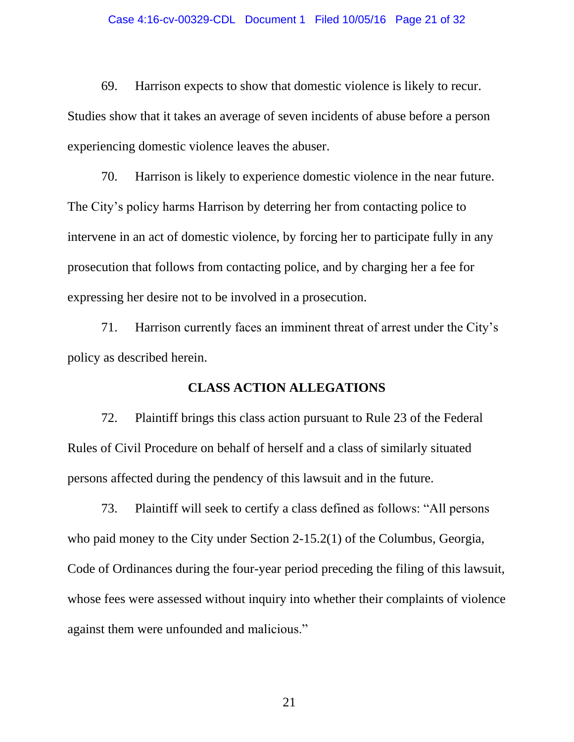69. Harrison expects to show that domestic violence is likely to recur. Studies show that it takes an average of seven incidents of abuse before a person experiencing domestic violence leaves the abuser.

70. Harrison is likely to experience domestic violence in the near future. The City's policy harms Harrison by deterring her from contacting police to intervene in an act of domestic violence, by forcing her to participate fully in any prosecution that follows from contacting police, and by charging her a fee for expressing her desire not to be involved in a prosecution.

71. Harrison currently faces an imminent threat of arrest under the City's policy as described herein.

#### **CLASS ACTION ALLEGATIONS**

72. Plaintiff brings this class action pursuant to Rule 23 of the Federal Rules of Civil Procedure on behalf of herself and a class of similarly situated persons affected during the pendency of this lawsuit and in the future.

73. Plaintiff will seek to certify a class defined as follows: "All persons who paid money to the City under Section 2-15.2(1) of the Columbus, Georgia, Code of Ordinances during the four-year period preceding the filing of this lawsuit, whose fees were assessed without inquiry into whether their complaints of violence against them were unfounded and malicious."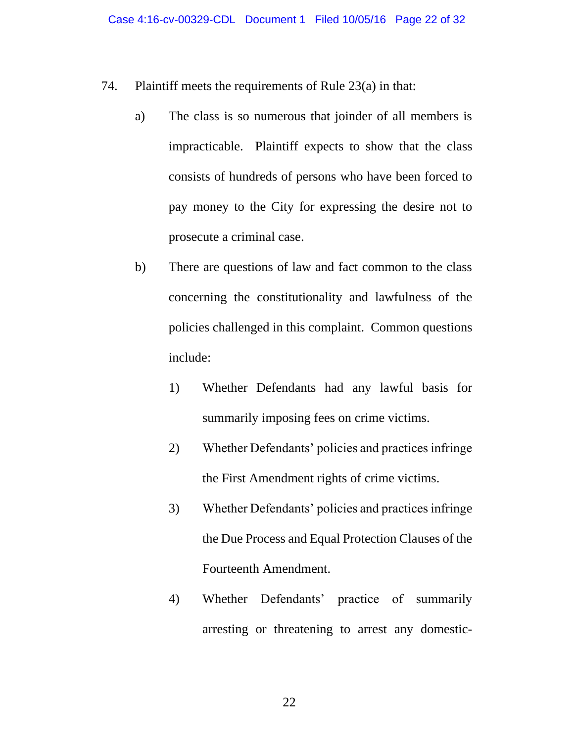- 74. Plaintiff meets the requirements of Rule 23(a) in that:
	- a) The class is so numerous that joinder of all members is impracticable. Plaintiff expects to show that the class consists of hundreds of persons who have been forced to pay money to the City for expressing the desire not to prosecute a criminal case.
	- b) There are questions of law and fact common to the class concerning the constitutionality and lawfulness of the policies challenged in this complaint. Common questions include:
		- 1) Whether Defendants had any lawful basis for summarily imposing fees on crime victims.
		- 2) Whether Defendants' policies and practices infringe the First Amendment rights of crime victims.
		- 3) Whether Defendants' policies and practices infringe the Due Process and Equal Protection Clauses of the Fourteenth Amendment.
		- 4) Whether Defendants' practice of summarily arresting or threatening to arrest any domestic-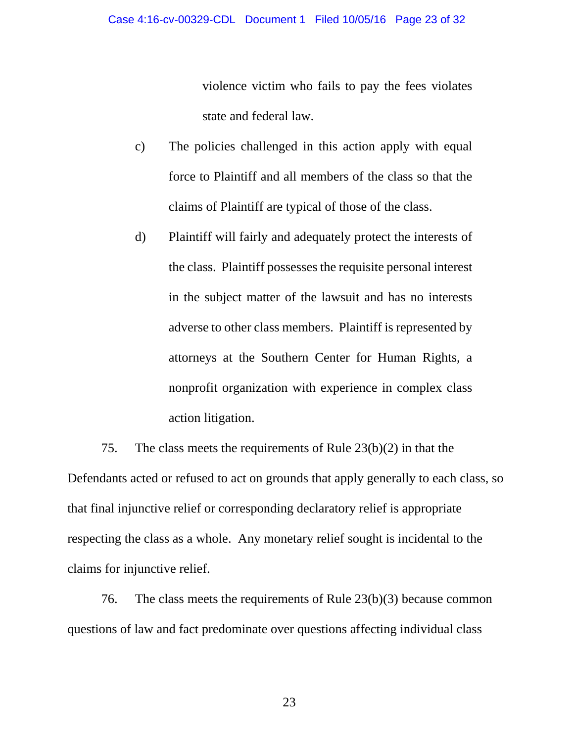violence victim who fails to pay the fees violates state and federal law.

- c) The policies challenged in this action apply with equal force to Plaintiff and all members of the class so that the claims of Plaintiff are typical of those of the class.
- d) Plaintiff will fairly and adequately protect the interests of the class. Plaintiff possesses the requisite personal interest in the subject matter of the lawsuit and has no interests adverse to other class members. Plaintiff is represented by attorneys at the Southern Center for Human Rights, a nonprofit organization with experience in complex class action litigation.

75. The class meets the requirements of Rule 23(b)(2) in that the Defendants acted or refused to act on grounds that apply generally to each class, so that final injunctive relief or corresponding declaratory relief is appropriate respecting the class as a whole. Any monetary relief sought is incidental to the claims for injunctive relief.

76. The class meets the requirements of Rule 23(b)(3) because common questions of law and fact predominate over questions affecting individual class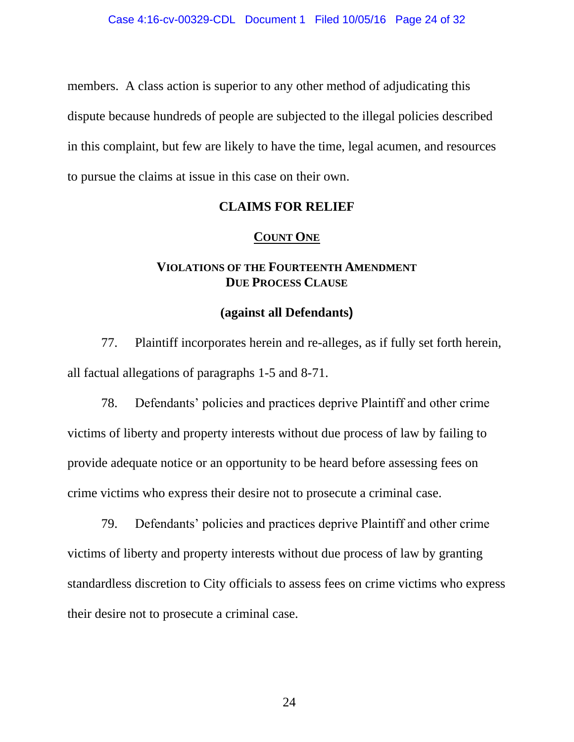members. A class action is superior to any other method of adjudicating this dispute because hundreds of people are subjected to the illegal policies described in this complaint, but few are likely to have the time, legal acumen, and resources to pursue the claims at issue in this case on their own.

### **CLAIMS FOR RELIEF**

#### **COUNT ONE**

## **VIOLATIONS OF THE FOURTEENTH AMENDMENT DUE PROCESS CLAUSE**

### **(against all Defendants)**

77. Plaintiff incorporates herein and re-alleges, as if fully set forth herein, all factual allegations of paragraphs 1-5 and 8-71.

78. Defendants' policies and practices deprive Plaintiff and other crime victims of liberty and property interests without due process of law by failing to provide adequate notice or an opportunity to be heard before assessing fees on crime victims who express their desire not to prosecute a criminal case.

79. Defendants' policies and practices deprive Plaintiff and other crime victims of liberty and property interests without due process of law by granting standardless discretion to City officials to assess fees on crime victims who express their desire not to prosecute a criminal case.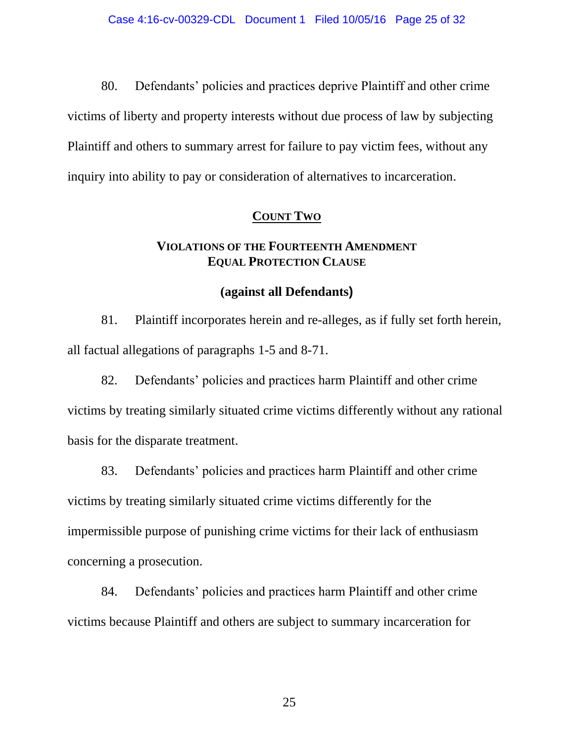80. Defendants' policies and practices deprive Plaintiff and other crime victims of liberty and property interests without due process of law by subjecting Plaintiff and others to summary arrest for failure to pay victim fees, without any inquiry into ability to pay or consideration of alternatives to incarceration.

## **COUNT TWO**

### **VIOLATIONS OF THE FOURTEENTH AMENDMENT EQUAL PROTECTION CLAUSE**

#### **(against all Defendants)**

81. Plaintiff incorporates herein and re-alleges, as if fully set forth herein, all factual allegations of paragraphs 1-5 and 8-71.

82. Defendants' policies and practices harm Plaintiff and other crime victims by treating similarly situated crime victims differently without any rational basis for the disparate treatment.

83. Defendants' policies and practices harm Plaintiff and other crime victims by treating similarly situated crime victims differently for the impermissible purpose of punishing crime victims for their lack of enthusiasm concerning a prosecution.

84. Defendants' policies and practices harm Plaintiff and other crime victims because Plaintiff and others are subject to summary incarceration for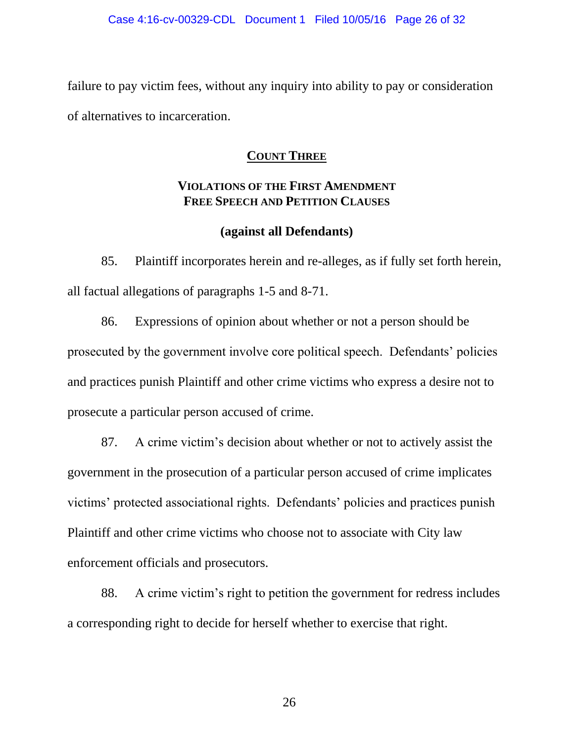failure to pay victim fees, without any inquiry into ability to pay or consideration of alternatives to incarceration.

## **COUNT THREE**

## **VIOLATIONS OF THE FIRST AMENDMENT FREE SPEECH AND PETITION CLAUSES**

## **(against all Defendants)**

85. Plaintiff incorporates herein and re-alleges, as if fully set forth herein, all factual allegations of paragraphs 1-5 and 8-71.

86. Expressions of opinion about whether or not a person should be prosecuted by the government involve core political speech. Defendants' policies and practices punish Plaintiff and other crime victims who express a desire not to prosecute a particular person accused of crime.

87. A crime victim's decision about whether or not to actively assist the government in the prosecution of a particular person accused of crime implicates victims' protected associational rights. Defendants' policies and practices punish Plaintiff and other crime victims who choose not to associate with City law enforcement officials and prosecutors.

88. A crime victim's right to petition the government for redress includes a corresponding right to decide for herself whether to exercise that right.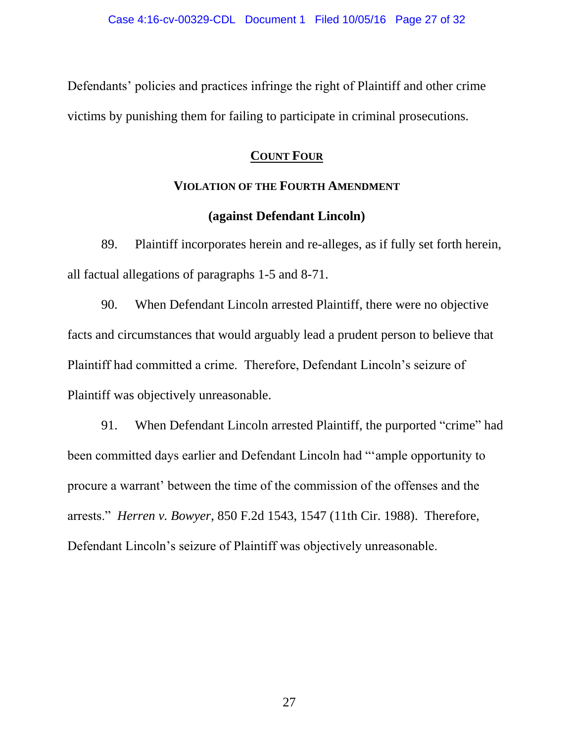Defendants' policies and practices infringe the right of Plaintiff and other crime victims by punishing them for failing to participate in criminal prosecutions.

### **COUNT FOUR**

#### **VIOLATION OF THE FOURTH AMENDMENT**

#### **(against Defendant Lincoln)**

89. Plaintiff incorporates herein and re-alleges, as if fully set forth herein, all factual allegations of paragraphs 1-5 and 8-71.

90. When Defendant Lincoln arrested Plaintiff, there were no objective facts and circumstances that would arguably lead a prudent person to believe that Plaintiff had committed a crime. Therefore, Defendant Lincoln's seizure of Plaintiff was objectively unreasonable.

91. When Defendant Lincoln arrested Plaintiff, the purported "crime" had been committed days earlier and Defendant Lincoln had "'ample opportunity to procure a warrant' between the time of the commission of the offenses and the arrests." *Herren v. Bowyer*, 850 F.2d 1543, 1547 (11th Cir. 1988). Therefore, Defendant Lincoln's seizure of Plaintiff was objectively unreasonable.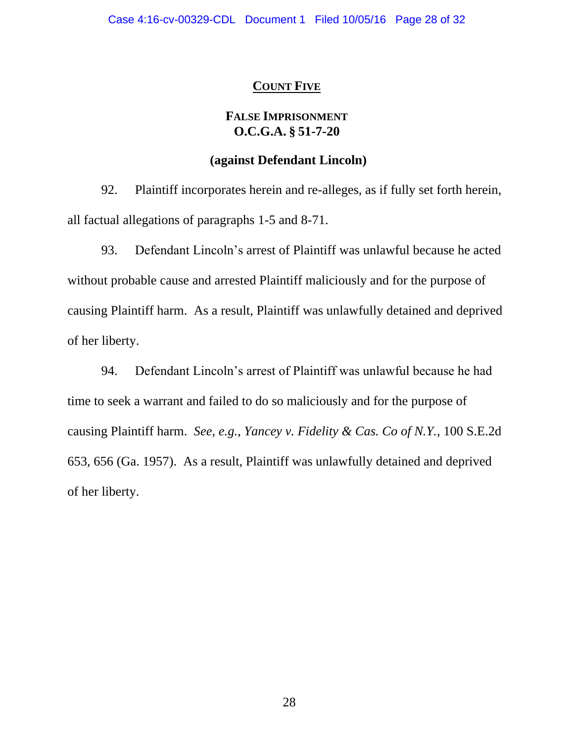### **COUNT FIVE**

### **FALSE IMPRISONMENT O.C.G.A. § 51-7-20**

#### **(against Defendant Lincoln)**

92. Plaintiff incorporates herein and re-alleges, as if fully set forth herein, all factual allegations of paragraphs 1-5 and 8-71.

93. Defendant Lincoln's arrest of Plaintiff was unlawful because he acted without probable cause and arrested Plaintiff maliciously and for the purpose of causing Plaintiff harm. As a result, Plaintiff was unlawfully detained and deprived of her liberty.

94. Defendant Lincoln's arrest of Plaintiff was unlawful because he had time to seek a warrant and failed to do so maliciously and for the purpose of causing Plaintiff harm. *See, e.g.*, *Yancey v. Fidelity & Cas. Co of N.Y.*, 100 S.E.2d 653, 656 (Ga. 1957). As a result, Plaintiff was unlawfully detained and deprived of her liberty.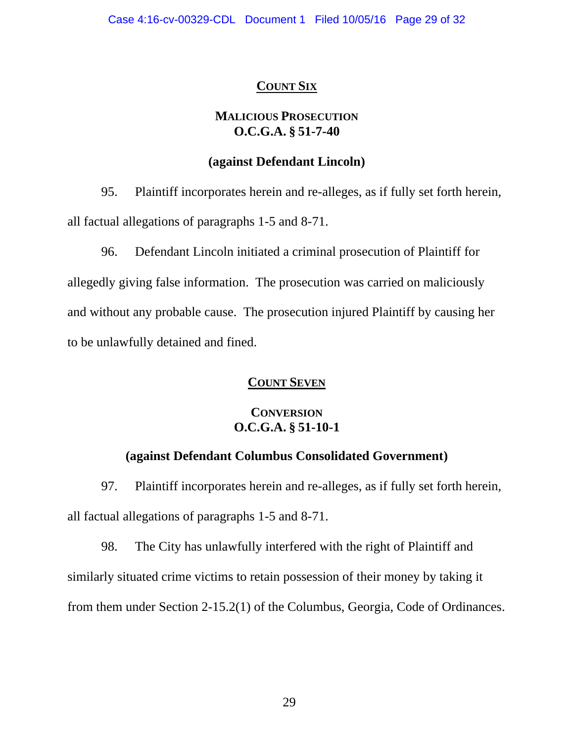# **COUNT SIX**

## **MALICIOUS PROSECUTION O.C.G.A. § 51-7-40**

## **(against Defendant Lincoln)**

95. Plaintiff incorporates herein and re-alleges, as if fully set forth herein, all factual allegations of paragraphs 1-5 and 8-71.

96. Defendant Lincoln initiated a criminal prosecution of Plaintiff for

allegedly giving false information. The prosecution was carried on maliciously and without any probable cause. The prosecution injured Plaintiff by causing her to be unlawfully detained and fined.

# **COUNT SEVEN**

# **CONVERSION O.C.G.A. § 51-10-1**

# **(against Defendant Columbus Consolidated Government)**

97. Plaintiff incorporates herein and re-alleges, as if fully set forth herein, all factual allegations of paragraphs 1-5 and 8-71.

98. The City has unlawfully interfered with the right of Plaintiff and similarly situated crime victims to retain possession of their money by taking it from them under Section 2-15.2(1) of the Columbus, Georgia, Code of Ordinances.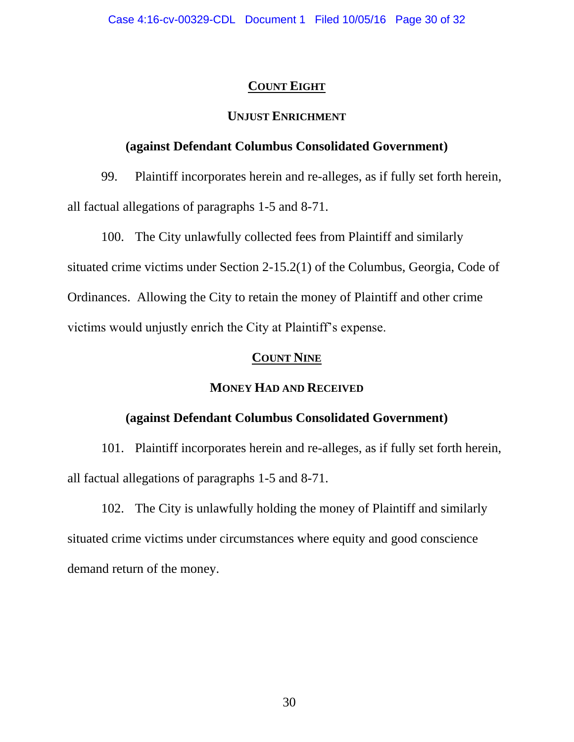## **COUNT EIGHT**

## **UNJUST ENRICHMENT**

## **(against Defendant Columbus Consolidated Government)**

99. Plaintiff incorporates herein and re-alleges, as if fully set forth herein, all factual allegations of paragraphs 1-5 and 8-71.

100. The City unlawfully collected fees from Plaintiff and similarly situated crime victims under Section 2-15.2(1) of the Columbus, Georgia, Code of Ordinances. Allowing the City to retain the money of Plaintiff and other crime victims would unjustly enrich the City at Plaintiff's expense.

## **COUNT NINE**

# **MONEY HAD AND RECEIVED**

## **(against Defendant Columbus Consolidated Government)**

101. Plaintiff incorporates herein and re-alleges, as if fully set forth herein, all factual allegations of paragraphs 1-5 and 8-71.

102. The City is unlawfully holding the money of Plaintiff and similarly situated crime victims under circumstances where equity and good conscience demand return of the money.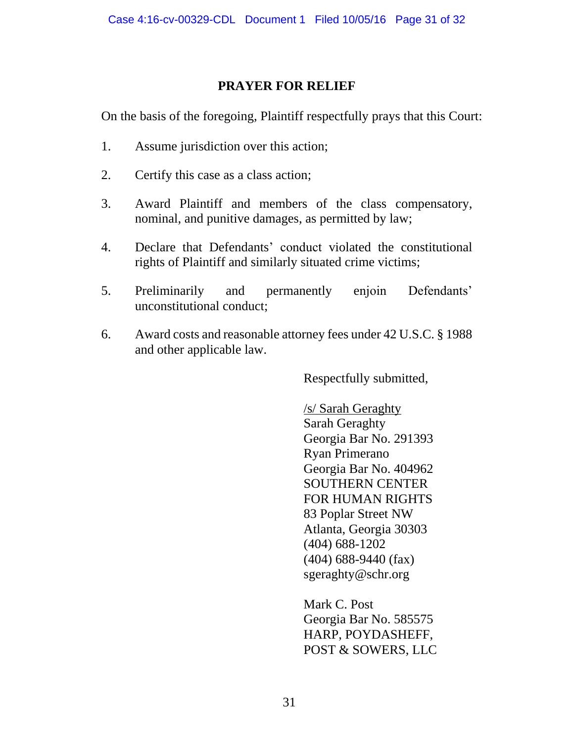## **PRAYER FOR RELIEF**

On the basis of the foregoing, Plaintiff respectfully prays that this Court:

- 1. Assume jurisdiction over this action;
- 2. Certify this case as a class action;
- 3. Award Plaintiff and members of the class compensatory, nominal, and punitive damages, as permitted by law;
- 4. Declare that Defendants' conduct violated the constitutional rights of Plaintiff and similarly situated crime victims;
- 5. Preliminarily and permanently enjoin Defendants' unconstitutional conduct;
- 6. Award costs and reasonable attorney fees under 42 U.S.C. § 1988 and other applicable law.

Respectfully submitted,

/s/ Sarah Geraghty Sarah Geraghty Georgia Bar No. 291393 Ryan Primerano Georgia Bar No. 404962 SOUTHERN CENTER FOR HUMAN RIGHTS 83 Poplar Street NW Atlanta, Georgia 30303 (404) 688-1202 (404) 688-9440 (fax) sgeraghty@schr.org

Mark C. Post Georgia Bar No. 585575 HARP, POYDASHEFF, POST & SOWERS, LLC